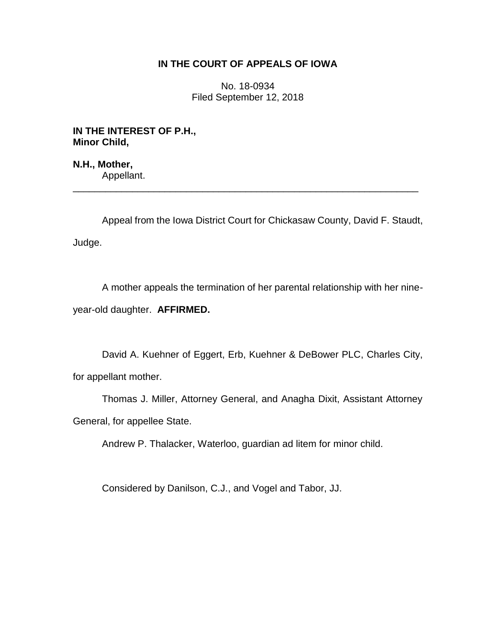## **IN THE COURT OF APPEALS OF IOWA**

No. 18-0934 Filed September 12, 2018

**IN THE INTEREST OF P.H., Minor Child,**

**N.H., Mother,** Appellant.

Appeal from the Iowa District Court for Chickasaw County, David F. Staudt, Judge.

\_\_\_\_\_\_\_\_\_\_\_\_\_\_\_\_\_\_\_\_\_\_\_\_\_\_\_\_\_\_\_\_\_\_\_\_\_\_\_\_\_\_\_\_\_\_\_\_\_\_\_\_\_\_\_\_\_\_\_\_\_\_\_\_

A mother appeals the termination of her parental relationship with her nineyear-old daughter. **AFFIRMED.**

David A. Kuehner of Eggert, Erb, Kuehner & DeBower PLC, Charles City, for appellant mother.

Thomas J. Miller, Attorney General, and Anagha Dixit, Assistant Attorney General, for appellee State.

Andrew P. Thalacker, Waterloo, guardian ad litem for minor child.

Considered by Danilson, C.J., and Vogel and Tabor, JJ.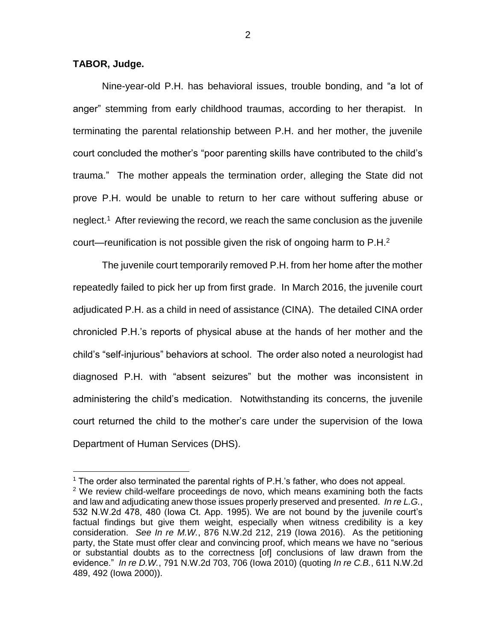**TABOR, Judge.**

 $\overline{a}$ 

Nine-year-old P.H. has behavioral issues, trouble bonding, and "a lot of anger" stemming from early childhood traumas, according to her therapist. In terminating the parental relationship between P.H. and her mother, the juvenile court concluded the mother's "poor parenting skills have contributed to the child's trauma." The mother appeals the termination order, alleging the State did not prove P.H. would be unable to return to her care without suffering abuse or neglect. 1 After reviewing the record, we reach the same conclusion as the juvenile court—reunification is not possible given the risk of ongoing harm to  $P.H.<sup>2</sup>$ 

The juvenile court temporarily removed P.H. from her home after the mother repeatedly failed to pick her up from first grade. In March 2016, the juvenile court adjudicated P.H. as a child in need of assistance (CINA). The detailed CINA order chronicled P.H.'s reports of physical abuse at the hands of her mother and the child's "self-injurious" behaviors at school. The order also noted a neurologist had diagnosed P.H. with "absent seizures" but the mother was inconsistent in administering the child's medication. Notwithstanding its concerns, the juvenile court returned the child to the mother's care under the supervision of the Iowa Department of Human Services (DHS).

 $1$  The order also terminated the parental rights of P.H.'s father, who does not appeal.  $2$  We review child-welfare proceedings de novo, which means examining both the facts and law and adjudicating anew those issues properly preserved and presented. *In re L.G.*, 532 N.W.2d 478, 480 (Iowa Ct. App. 1995). We are not bound by the juvenile court's factual findings but give them weight, especially when witness credibility is a key consideration. *See In re M.W.*, 876 N.W.2d 212, 219 (Iowa 2016). As the petitioning party, the State must offer clear and convincing proof, which means we have no "serious or substantial doubts as to the correctness [of] conclusions of law drawn from the evidence." *In re D.W.*, 791 N.W.2d 703, 706 (Iowa 2010) (quoting *In re C.B.*, 611 N.W.2d 489, 492 (Iowa 2000)).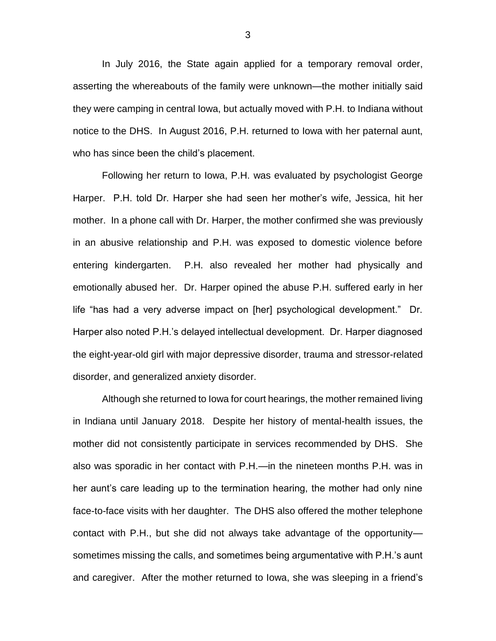In July 2016, the State again applied for a temporary removal order, asserting the whereabouts of the family were unknown—the mother initially said they were camping in central Iowa, but actually moved with P.H. to Indiana without notice to the DHS. In August 2016, P.H. returned to Iowa with her paternal aunt, who has since been the child's placement.

Following her return to Iowa, P.H. was evaluated by psychologist George Harper. P.H. told Dr. Harper she had seen her mother's wife, Jessica, hit her mother. In a phone call with Dr. Harper, the mother confirmed she was previously in an abusive relationship and P.H. was exposed to domestic violence before entering kindergarten. P.H. also revealed her mother had physically and emotionally abused her. Dr. Harper opined the abuse P.H. suffered early in her life "has had a very adverse impact on [her] psychological development." Dr. Harper also noted P.H.'s delayed intellectual development. Dr. Harper diagnosed the eight-year-old girl with major depressive disorder, trauma and stressor-related disorder, and generalized anxiety disorder.

Although she returned to Iowa for court hearings, the mother remained living in Indiana until January 2018. Despite her history of mental-health issues, the mother did not consistently participate in services recommended by DHS. She also was sporadic in her contact with P.H.—in the nineteen months P.H. was in her aunt's care leading up to the termination hearing, the mother had only nine face-to-face visits with her daughter. The DHS also offered the mother telephone contact with P.H., but she did not always take advantage of the opportunity sometimes missing the calls, and sometimes being argumentative with P.H.'s aunt and caregiver. After the mother returned to Iowa, she was sleeping in a friend's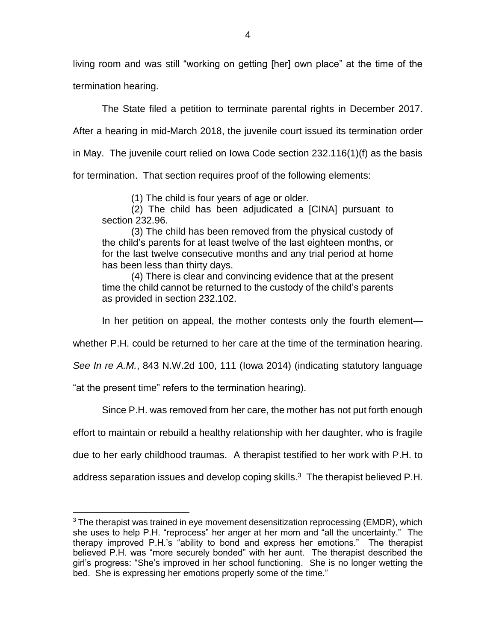living room and was still "working on getting [her] own place" at the time of the termination hearing.

The State filed a petition to terminate parental rights in December 2017. After a hearing in mid-March 2018, the juvenile court issued its termination order in May. The juvenile court relied on Iowa Code section 232.116(1)(f) as the basis for termination. That section requires proof of the following elements:

(1) The child is four years of age or older.

(2) The child has been adjudicated a [CINA] pursuant to section 232.96.

(3) The child has been removed from the physical custody of the child's parents for at least twelve of the last eighteen months, or for the last twelve consecutive months and any trial period at home has been less than thirty days.

(4) There is clear and convincing evidence that at the present time the child cannot be returned to the custody of the child's parents as provided in section 232.102.

In her petition on appeal, the mother contests only the fourth element—

whether P.H. could be returned to her care at the time of the termination hearing.

*See In re A.M.*, 843 N.W.2d 100, 111 (Iowa 2014) (indicating statutory language

"at the present time" refers to the termination hearing).

 $\overline{a}$ 

Since P.H. was removed from her care, the mother has not put forth enough

effort to maintain or rebuild a healthy relationship with her daughter, who is fragile

due to her early childhood traumas. A therapist testified to her work with P.H. to

address separation issues and develop coping skills. $3$  The therapist believed P.H.

 $3$  The therapist was trained in eye movement desensitization reprocessing (EMDR), which she uses to help P.H. "reprocess" her anger at her mom and "all the uncertainty." The therapy improved P.H.'s "ability to bond and express her emotions." The therapist believed P.H. was "more securely bonded" with her aunt. The therapist described the girl's progress: "She's improved in her school functioning. She is no longer wetting the bed. She is expressing her emotions properly some of the time."